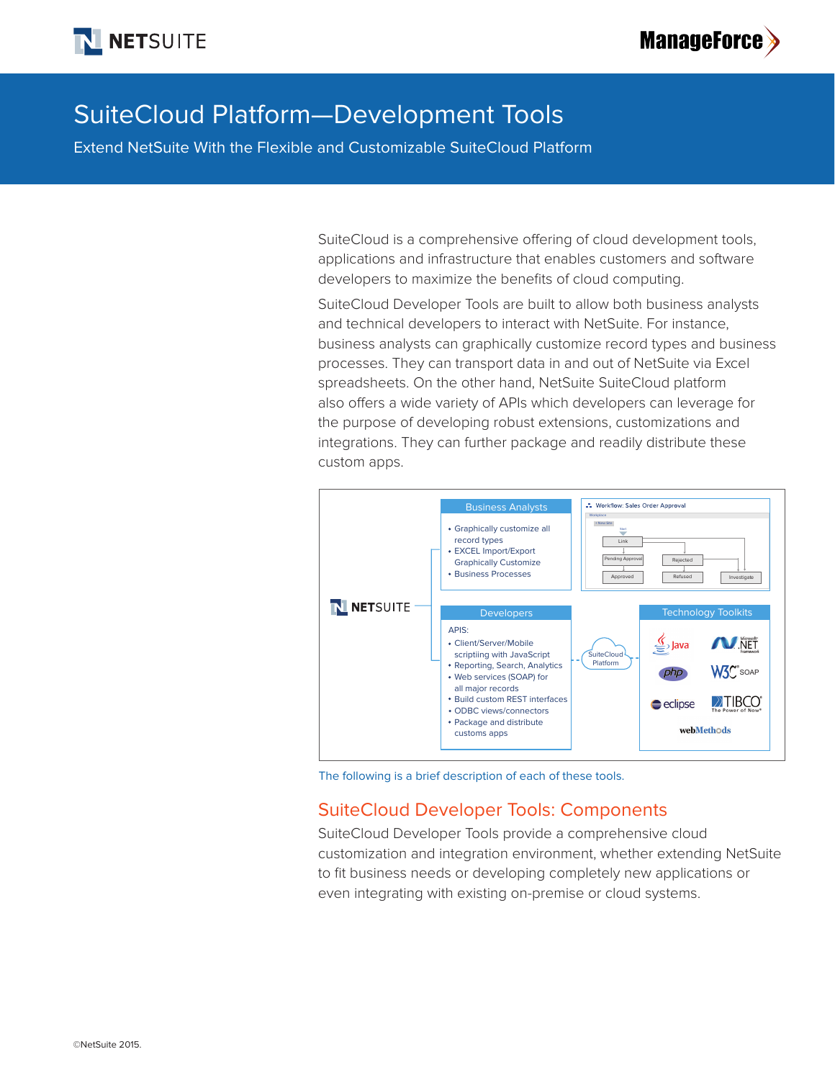



# SuiteCloud Platform—Development Tools

Extend NetSuite With the Flexible and Customizable SuiteCloud Platform

SuiteCloud is a comprehensive offering of cloud development tools, applications and infrastructure that enables customers and software developers to maximize the benefits of cloud computing.

SuiteCloud Developer Tools are built to allow both business analysts and technical developers to interact with NetSuite. For instance, business analysts can graphically customize record types and business processes. They can transport data in and out of NetSuite via Excel spreadsheets. On the other hand, NetSuite SuiteCloud platform also offers a wide variety of APIs which developers can leverage for the purpose of developing robust extensions, customizations and integrations. They can further package and readily distribute these custom apps.



The following is a brief description of each of these tools.

## SuiteCloud Developer Tools: Components

SuiteCloud Developer Tools provide a comprehensive cloud customization and integration environment, whether extending NetSuite to fit business needs or developing completely new applications or even integrating with existing on-premise or cloud systems.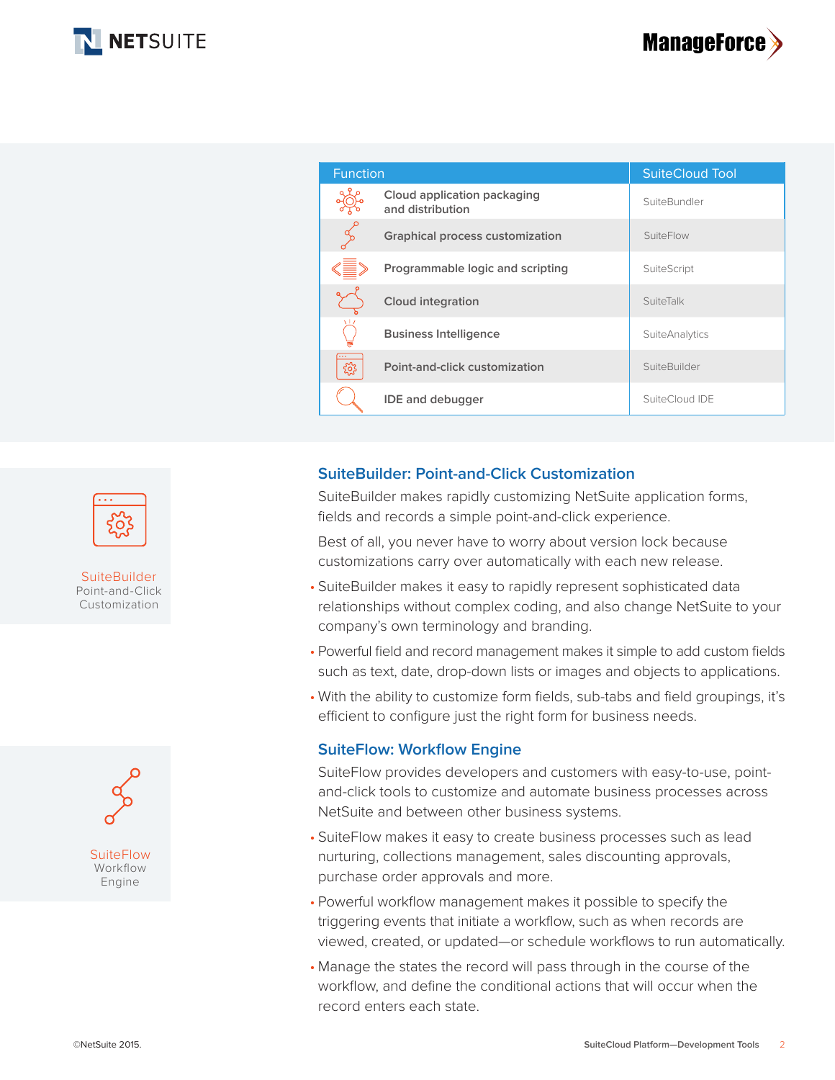



| <b>Function</b> |                                                 | <b>SuiteCloud Tool</b> |
|-----------------|-------------------------------------------------|------------------------|
|                 | Cloud application packaging<br>and distribution | SuiteBundler           |
|                 | <b>Graphical process customization</b>          | SuiteFlow              |
|                 | Programmable logic and scripting                | SuiteScript            |
|                 | <b>Cloud integration</b>                        | SuiteTalk              |
|                 | <b>Business Intelligence</b>                    | <b>SuiteAnalytics</b>  |
| ಕ್ಷಿದ್ದ         | Point-and-click customization                   | SuiteBuilder           |
|                 | <b>IDE</b> and debugger                         | SuiteCloud IDE         |

#### **SuiteBuilder: Point-and-Click Customization**

SuiteBuilder makes rapidly customizing NetSuite application forms, fields and records a simple point-and-click experience.

Best of all, you never have to worry about version lock because customizations carry over automatically with each new release.

- SuiteBuilder makes it easy to rapidly represent sophisticated data relationships without complex coding, and also change NetSuite to your company's own terminology and branding.
- Powerful field and record management makes it simple to add custom fields such as text, date, drop-down lists or images and objects to applications.
- With the ability to customize form fields, sub-tabs and field groupings, it's efficient to configure just the right form for business needs.

#### **SuiteFlow: Workflow Engine**

SuiteFlow provides developers and customers with easy-to-use, pointand-click tools to customize and automate business processes across NetSuite and between other business systems.

- SuiteFlow makes it easy to create business processes such as lead nurturing, collections management, sales discounting approvals, purchase order approvals and more.
- Powerful workflow management makes it possible to specify the triggering events that initiate a workflow, such as when records are viewed, created, or updated—or schedule workflows to run automatically.
- Manage the states the record will pass through in the course of the workflow, and define the conditional actions that will occur when the record enters each state.



**SuiteBuilder** Point-and-Click Customization

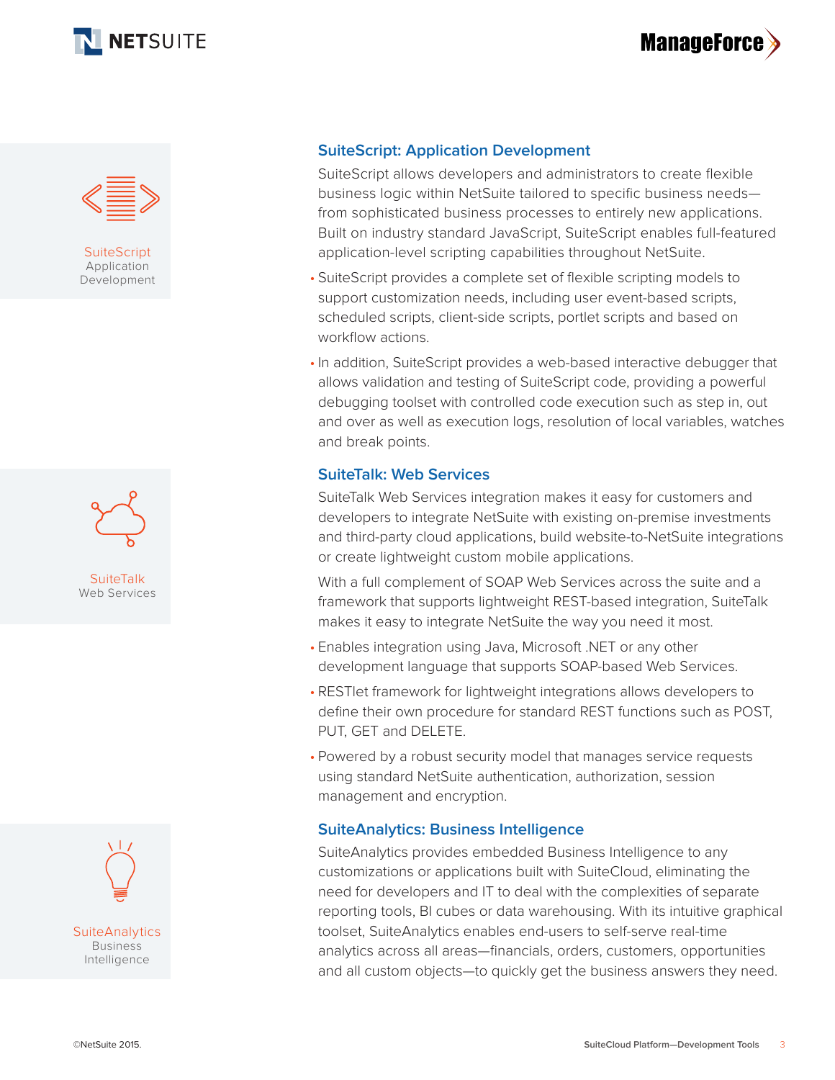





**SuiteScript** Application Development





### **SuiteScript: Application Development**

SuiteScript allows developers and administrators to create flexible business logic within NetSuite tailored to specific business needs from sophisticated business processes to entirely new applications. Built on industry standard JavaScript, SuiteScript enables full-featured application-level scripting capabilities throughout NetSuite.

- SuiteScript provides a complete set of flexible scripting models to support customization needs, including user event-based scripts, scheduled scripts, client-side scripts, portlet scripts and based on workflow actions.
- In addition, SuiteScript provides a web-based interactive debugger that allows validation and testing of SuiteScript code, providing a powerful debugging toolset with controlled code execution such as step in, out and over as well as execution logs, resolution of local variables, watches and break points.

#### **SuiteTalk: Web Services**

SuiteTalk Web Services integration makes it easy for customers and developers to integrate NetSuite with existing on-premise investments and third-party cloud applications, build website-to-NetSuite integrations or create lightweight custom mobile applications.

With a full complement of SOAP Web Services across the suite and a framework that supports lightweight REST-based integration, SuiteTalk makes it easy to integrate NetSuite the way you need it most.

- Enables integration using Java, Microsoft .NET or any other development language that supports SOAP-based Web Services.
- RESTlet framework for lightweight integrations allows developers to define their own procedure for standard REST functions such as POST, PUT, GET and DELETE.
- Powered by a robust security model that manages service requests using standard NetSuite authentication, authorization, session management and encryption.

### **SuiteAnalytics: Business Intelligence**

SuiteAnalytics provides embedded Business Intelligence to any customizations or applications built with SuiteCloud, eliminating the need for developers and IT to deal with the complexities of separate reporting tools, BI cubes or data warehousing. With its intuitive graphical toolset, SuiteAnalytics enables end-users to self-serve real-time analytics across all areas—financials, orders, customers, opportunities and all custom objects—to quickly get the business answers they need.